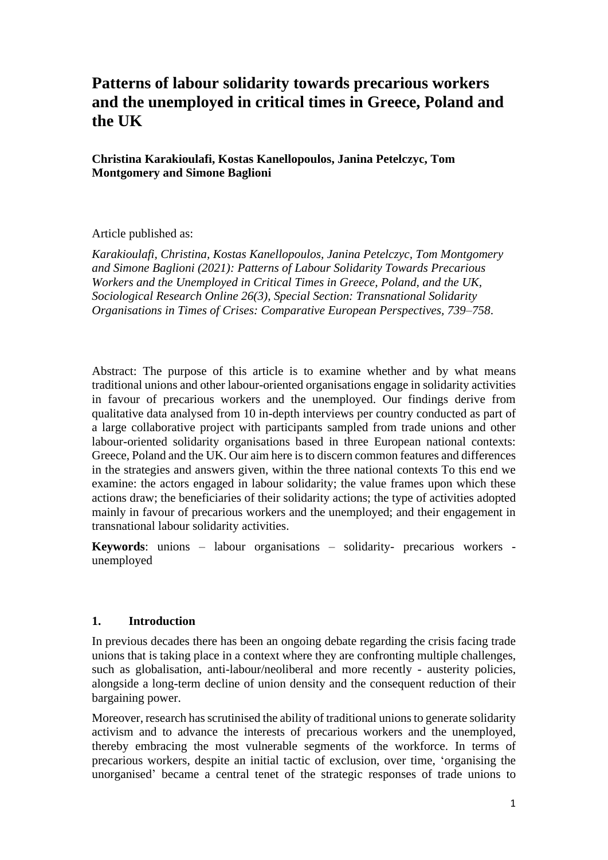# **Patterns of labour solidarity towards precarious workers and the unemployed in critical times in Greece, Poland and the UK**

**Christina Karakioulafi, Kostas Kanellopoulos, Janina Petelczyc, Tom Montgomery and Simone Baglioni** 

#### Article published as:

*Karakioulafi, Christina, Kostas Kanellopoulos, Janina Petelczyc, Tom Montgomery and Simone Baglioni (2021): Patterns of Labour Solidarity Towards Precarious Workers and the Unemployed in Critical Times in Greece, Poland, and the UK, Sociological Research Online 26(3), Special Section: Transnational Solidarity Organisations in Times of Crises: Comparative European Perspectives, 739–758*.

Abstract: The purpose of this article is to examine whether and by what means traditional unions and other labour-oriented organisations engage in solidarity activities in favour of precarious workers and the unemployed. Our findings derive from qualitative data analysed from 10 in-depth interviews per country conducted as part of a large collaborative project with participants sampled from trade unions and other labour-oriented solidarity organisations based in three European national contexts: Greece, Poland and the UK. Our aim here is to discern common features and differences in the strategies and answers given, within the three national contexts To this end we examine: the actors engaged in labour solidarity; the value frames upon which these actions draw; the beneficiaries of their solidarity actions; the type of activities adopted mainly in favour of precarious workers and the unemployed; and their engagement in transnational labour solidarity activities.

**Keywords**: unions – labour organisations – solidarity- precarious workers unemployed

#### **1. Introduction**

In previous decades there has been an ongoing debate regarding the crisis facing trade unions that is taking place in a context where they are confronting multiple challenges, such as globalisation, anti-labour/neoliberal and more recently - austerity policies, alongside a long-term decline of union density and the consequent reduction of their bargaining power.

Moreover, research has scrutinised the ability of traditional unions to generate solidarity activism and to advance the interests of precarious workers and the unemployed, thereby embracing the most vulnerable segments of the workforce. In terms of precarious workers, despite an initial tactic of exclusion, over time, 'organising the unorganised' became a central tenet of the strategic responses of trade unions to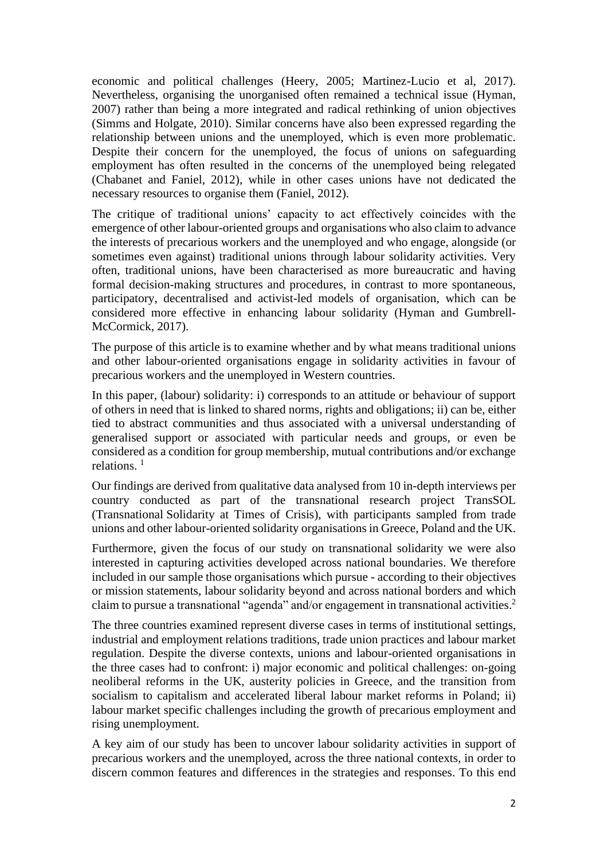economic and political challenges (Heery, 2005; Martinez-Lucio et al, 2017). Nevertheless, organising the unorganised often remained a technical issue (Hyman, 2007) rather than being a more integrated and radical rethinking of union objectives (Simms and Holgate, 2010). Similar concerns have also been expressed regarding the relationship between unions and the unemployed, which is even more problematic. Despite their concern for the unemployed, the focus of unions on safeguarding employment has often resulted in the concerns of the unemployed being relegated (Chabanet and Faniel, 2012), while in other cases unions have not dedicated the necessary resources to organise them (Faniel, 2012).

The critique of traditional unions' capacity to act effectively coincides with the emergence of other labour-oriented groups and organisations who also claim to advance the interests of precarious workers and the unemployed and who engage, alongside (or sometimes even against) traditional unions through labour solidarity activities. Very often, traditional unions, have been characterised as more bureaucratic and having formal decision-making structures and procedures, in contrast to more spontaneous, participatory, decentralised and activist-led models of organisation, which can be considered more effective in enhancing labour solidarity (Hyman and Gumbrell-McCormick, 2017).

The purpose of this article is to examine whether and by what means traditional unions and other labour-oriented organisations engage in solidarity activities in favour of precarious workers and the unemployed in Western countries.

In this paper, (labour) solidarity: i) corresponds to an attitude or behaviour of support of others in need that is linked to shared norms, rights and obligations; ii) can be, either tied to abstract communities and thus associated with a universal understanding of generalised support or associated with particular needs and groups, or even be considered as a condition for group membership, mutual contributions and/or exchange relations. 1

Our findings are derived from qualitative data analysed from 10 in-depth interviews per country conducted as part of the transnational research project TransSOL (Transnational Solidarity at Times of Crisis), with participants sampled from trade unions and other labour-oriented solidarity organisations in Greece, Poland and the UK.

Furthermore, given the focus of our study on transnational solidarity we were also interested in capturing activities developed across national boundaries. We therefore included in our sample those organisations which pursue - according to their objectives or mission statements, labour solidarity beyond and across national borders and which claim to pursue a transnational "agenda" and/or engagement in transnational activities. 2

The three countries examined represent diverse cases in terms of institutional settings, industrial and employment relations traditions, trade union practices and labour market regulation. Despite the diverse contexts, unions and labour-oriented organisations in the three cases had to confront: i) major economic and political challenges: on-going neoliberal reforms in the UK, austerity policies in Greece, and the transition from socialism to capitalism and accelerated liberal labour market reforms in Poland; ii) labour market specific challenges including the growth of precarious employment and rising unemployment.

A key aim of our study has been to uncover labour solidarity activities in support of precarious workers and the unemployed, across the three national contexts, in order to discern common features and differences in the strategies and responses. To this end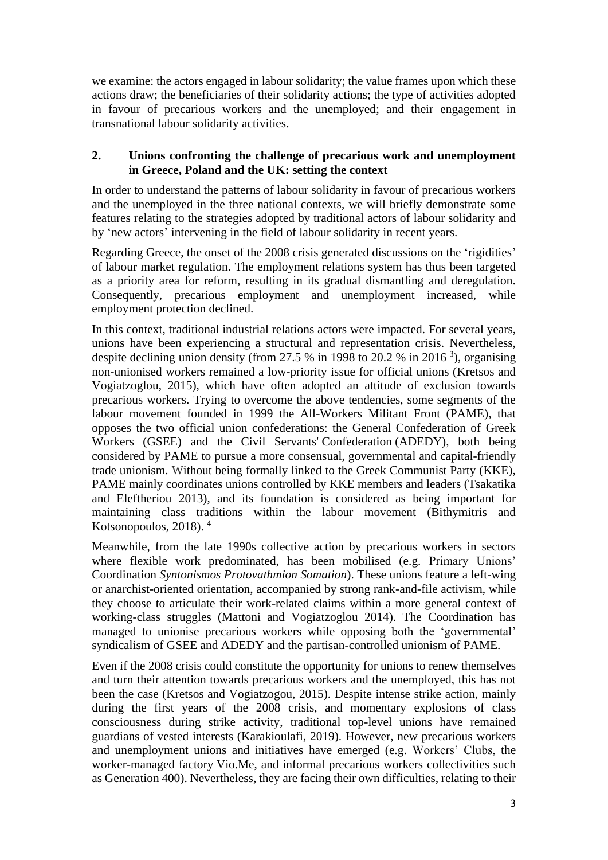we examine: the actors engaged in labour solidarity; the value frames upon which these actions draw; the beneficiaries of their solidarity actions; the type of activities adopted in favour of precarious workers and the unemployed; and their engagement in transnational labour solidarity activities.

## **2. Unions confronting the challenge of precarious work and unemployment in Greece, Poland and the UK: setting the context**

In order to understand the patterns of labour solidarity in favour of precarious workers and the unemployed in the three national contexts, we will briefly demonstrate some features relating to the strategies adopted by traditional actors of labour solidarity and by 'new actors' intervening in the field of labour solidarity in recent years.

Regarding Greece, the onset of the 2008 crisis generated discussions on the 'rigidities' of labour market regulation. The employment relations system has thus been targeted as a priority area for reform, resulting in its gradual dismantling and deregulation. Consequently, precarious employment and unemployment increased, while employment protection declined.

In this context, traditional industrial relations actors were impacted. For several years, unions have been experiencing a structural and representation crisis. Nevertheless, despite declining union density (from 27.5  $\%$  in 1998 to 20.2  $\%$  in 2016<sup>3</sup>), organising non-unionised workers remained a low-priority issue for official unions (Kretsos and Vogiatzoglou, 2015), which have often adopted an attitude of exclusion towards precarious workers. Trying to overcome the above tendencies, some segments of the labour movement founded in 1999 the All-Workers Militant Front (PAME), that opposes the two official union confederations: the General Confederation of Greek Workers (GSEE) and the Civil Servants' Confederation (ADEDY), both being considered by PAME to pursue a more consensual, governmental and capital-friendly trade unionism. Without being formally linked to the Greek Communist Party (KKE), PAME mainly coordinates unions controlled by KKE members and leaders (Tsakatika and Eleftheriou 2013), and its foundation is considered as being important for maintaining class traditions within the labour movement (Bithymitris and Kotsonopoulos, 2018). 4

Meanwhile, from the late 1990s collective action by precarious workers in sectors where flexible work predominated, has been mobilised (e.g. Primary Unions' Coordination *Syntonismos Protovathmion Somation*). These unions feature a left-wing or anarchist-oriented orientation, accompanied by strong rank-and-file activism, while they choose to articulate their work-related claims within a more general context of working-class struggles (Mattoni and Vogiatzoglou 2014). The Coordination has managed to unionise precarious workers while opposing both the 'governmental' syndicalism of GSEE and ADEDY and the partisan-controlled unionism of PAME.

Even if the 2008 crisis could constitute the opportunity for unions to renew themselves and turn their attention towards precarious workers and the unemployed, this has not been the case (Kretsos and Vogiatzogou, 2015). Despite intense strike action, mainly during the first years of the 2008 crisis, and momentary explosions of class consciousness during strike activity, traditional top-level unions have remained guardians of vested interests (Karakioulafi, 2019). However, new precarious workers and unemployment unions and initiatives have emerged (e.g. Workers' Clubs, the worker-managed factory Vio.Me, and informal precarious workers collectivities such as Generation 400). Nevertheless, they are facing their own difficulties, relating to their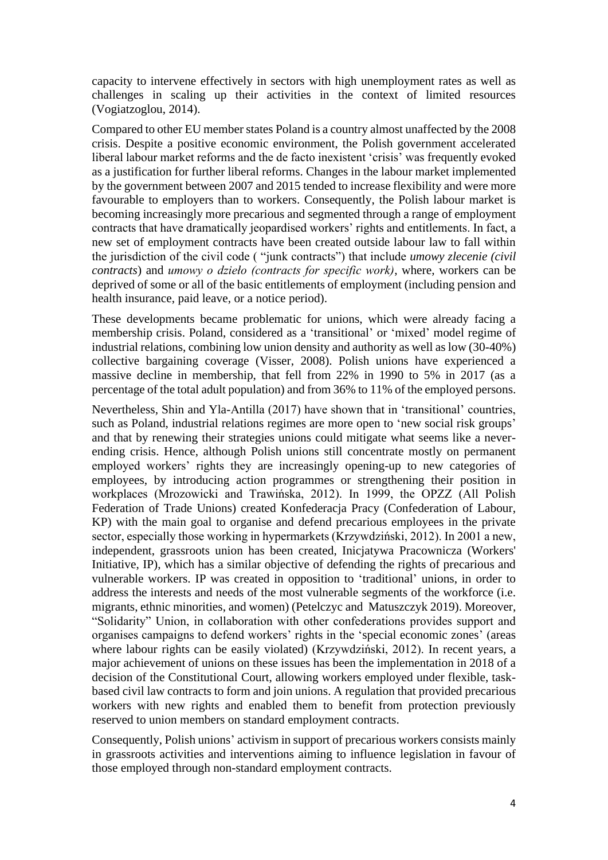capacity to intervene effectively in sectors with high unemployment rates as well as challenges in scaling up their activities in the context of limited resources (Vogiatzoglou, 2014).

Compared to other EU member states Poland is a country almost unaffected by the 2008 crisis. Despite a positive economic environment, the Polish government accelerated liberal labour market reforms and the de facto inexistent 'crisis' was frequently evoked as a justification for further liberal reforms. Changes in the labour market implemented by the government between 2007 and 2015 tended to increase flexibility and were more favourable to employers than to workers. Consequently, the Polish labour market is becoming increasingly more precarious and segmented through a range of employment contracts that have dramatically jeopardised workers' rights and entitlements. In fact, a new set of employment contracts have been created outside labour law to fall within the jurisdiction of the civil code ( "junk contracts") that include *umowy zlecenie (civil contracts*) and *umowy o dzieło (contracts for specific work)*, where, workers can be deprived of some or all of the basic entitlements of employment (including pension and health insurance, paid leave, or a notice period).

These developments became problematic for unions, which were already facing a membership crisis. Poland, considered as a 'transitional' or 'mixed' model regime of industrial relations, combining low union density and authority as well as low (30-40%) collective bargaining coverage (Visser, 2008). Polish unions have experienced a massive decline in membership, that fell from 22% in 1990 to 5% in 2017 (as a percentage of the total adult population) and from 36% to 11% of the employed persons.

Nevertheless, Shin and Yla-Antilla (2017) have shown that in 'transitional' countries, such as Poland, industrial relations regimes are more open to 'new social risk groups' and that by renewing their strategies unions could mitigate what seems like a neverending crisis. Hence, although Polish unions still concentrate mostly on permanent employed workers' rights they are increasingly opening-up to new categories of employees, by introducing action programmes or strengthening their position in workplaces (Mrozowicki and Trawińska, 2012). In 1999, the OPZZ (All Polish Federation of Trade Unions) created Konfederacja Pracy (Confederation of Labour, KP) with the main goal to organise and defend precarious employees in the private sector, especially those working in hypermarkets (Krzywdziński, 2012). In 2001 a new, independent, grassroots union has been created, Inicjatywa Pracownicza (Workers' Initiative, IP), which has a similar objective of defending the rights of precarious and vulnerable workers. IP was created in opposition to 'traditional' unions, in order to address the interests and needs of the most vulnerable segments of the workforce (i.e. migrants, ethnic minorities, and women) (Petelczyc and Matuszczyk 2019). Moreover, "Solidarity" Union, in collaboration with other confederations provides support and organises campaigns to defend workers' rights in the 'special economic zones' (areas where labour rights can be easily violated) (Krzywdziński, 2012). In recent years, a major achievement of unions on these issues has been the implementation in 2018 of a decision of the Constitutional Court, allowing workers employed under flexible, taskbased civil law contracts to form and join unions. A regulation that provided precarious workers with new rights and enabled them to benefit from protection previously reserved to union members on standard employment contracts.

Consequently, Polish unions' activism in support of precarious workers consists mainly in grassroots activities and interventions aiming to influence legislation in favour of those employed through non-standard employment contracts.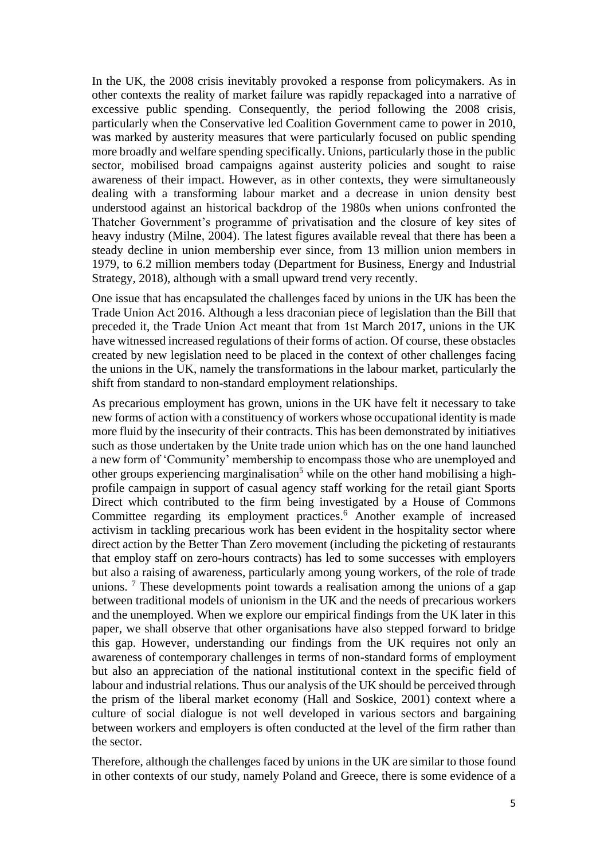In the UK, the 2008 crisis inevitably provoked a response from policymakers. As in other contexts the reality of market failure was rapidly repackaged into a narrative of excessive public spending. Consequently, the period following the 2008 crisis, particularly when the Conservative led Coalition Government came to power in 2010, was marked by austerity measures that were particularly focused on public spending more broadly and welfare spending specifically. Unions, particularly those in the public sector, mobilised broad campaigns against austerity policies and sought to raise awareness of their impact. However, as in other contexts, they were simultaneously dealing with a transforming labour market and a decrease in union density best understood against an historical backdrop of the 1980s when unions confronted the Thatcher Government's programme of privatisation and the closure of key sites of heavy industry (Milne, 2004). The latest figures available reveal that there has been a steady decline in union membership ever since, from 13 million union members in 1979, to 6.2 million members today (Department for Business, Energy and Industrial Strategy, 2018), although with a small upward trend very recently.

One issue that has encapsulated the challenges faced by unions in the UK has been the Trade Union Act 2016. Although a less draconian piece of legislation than the Bill that preceded it, the Trade Union Act meant that from 1st March 2017, unions in the UK have witnessed increased regulations of their forms of action. Of course, these obstacles created by new legislation need to be placed in the context of other challenges facing the unions in the UK, namely the transformations in the labour market, particularly the shift from standard to non-standard employment relationships.

As precarious employment has grown, unions in the UK have felt it necessary to take new forms of action with a constituency of workers whose occupational identity is made more fluid by the insecurity of their contracts. This has been demonstrated by initiatives such as those undertaken by the Unite trade union which has on the one hand launched a new form of 'Community' membership to encompass those who are unemployed and other groups experiencing marginalisation<sup>5</sup> while on the other hand mobilising a highprofile campaign in support of casual agency staff working for the retail giant Sports Direct which contributed to the firm being investigated by a House of Commons Committee regarding its employment practices. <sup>6</sup> Another example of increased activism in tackling precarious work has been evident in the hospitality sector where direct action by the Better Than Zero movement (including the picketing of restaurants that employ staff on zero-hours contracts) has led to some successes with employers but also a raising of awareness, particularly among young workers, of the role of trade unions.<sup>7</sup> These developments point towards a realisation among the unions of a gap between traditional models of unionism in the UK and the needs of precarious workers and the unemployed. When we explore our empirical findings from the UK later in this paper, we shall observe that other organisations have also stepped forward to bridge this gap. However, understanding our findings from the UK requires not only an awareness of contemporary challenges in terms of non-standard forms of employment but also an appreciation of the national institutional context in the specific field of labour and industrial relations. Thus our analysis of the UK should be perceived through the prism of the liberal market economy (Hall and Soskice, 2001) context where a culture of social dialogue is not well developed in various sectors and bargaining between workers and employers is often conducted at the level of the firm rather than the sector.

Therefore, although the challenges faced by unions in the UK are similar to those found in other contexts of our study, namely Poland and Greece, there is some evidence of a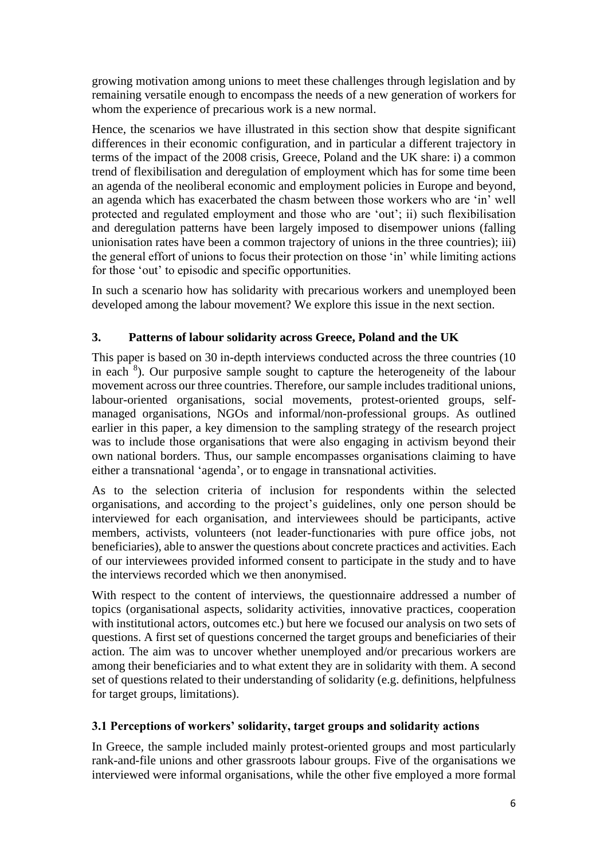growing motivation among unions to meet these challenges through legislation and by remaining versatile enough to encompass the needs of a new generation of workers for whom the experience of precarious work is a new normal.

Hence, the scenarios we have illustrated in this section show that despite significant differences in their economic configuration, and in particular a different trajectory in terms of the impact of the 2008 crisis, Greece, Poland and the UK share: i) a common trend of flexibilisation and deregulation of employment which has for some time been an agenda of the neoliberal economic and employment policies in Europe and beyond, an agenda which has exacerbated the chasm between those workers who are 'in' well protected and regulated employment and those who are 'out'; ii) such flexibilisation and deregulation patterns have been largely imposed to disempower unions (falling unionisation rates have been a common trajectory of unions in the three countries); iii) the general effort of unions to focus their protection on those 'in' while limiting actions for those 'out' to episodic and specific opportunities.

In such a scenario how has solidarity with precarious workers and unemployed been developed among the labour movement? We explore this issue in the next section.

# **3. Patterns of labour solidarity across Greece, Poland and the UK**

This paper is based on 30 in-depth interviews conducted across the three countries (10 in each  $8$ ). Our purposive sample sought to capture the heterogeneity of the labour movement across our three countries. Therefore, our sample includes traditional unions, labour-oriented organisations, social movements, protest-oriented groups, selfmanaged organisations, NGOs and informal/non-professional groups. As outlined earlier in this paper, a key dimension to the sampling strategy of the research project was to include those organisations that were also engaging in activism beyond their own national borders. Thus, our sample encompasses organisations claiming to have either a transnational 'agenda', or to engage in transnational activities.

As to the selection criteria of inclusion for respondents within the selected organisations, and according to the project's guidelines, only one person should be interviewed for each organisation, and interviewees should be participants, active members, activists, volunteers (not leader-functionaries with pure office jobs, not beneficiaries), able to answer the questions about concrete practices and activities. Each of our interviewees provided informed consent to participate in the study and to have the interviews recorded which we then anonymised.

With respect to the content of interviews, the questionnaire addressed a number of topics (organisational aspects, solidarity activities, innovative practices, cooperation with institutional actors, outcomes etc.) but here we focused our analysis on two sets of questions. A first set of questions concerned the target groups and beneficiaries of their action. The aim was to uncover whether unemployed and/or precarious workers are among their beneficiaries and to what extent they are in solidarity with them. A second set of questions related to their understanding of solidarity (e.g. definitions, helpfulness for target groups, limitations).

## **3.1 Perceptions of workers' solidarity, target groups and solidarity actions**

In Greece, the sample included mainly protest-oriented groups and most particularly rank-and-file unions and other grassroots labour groups. Five of the organisations we interviewed were informal organisations, while the other five employed a more formal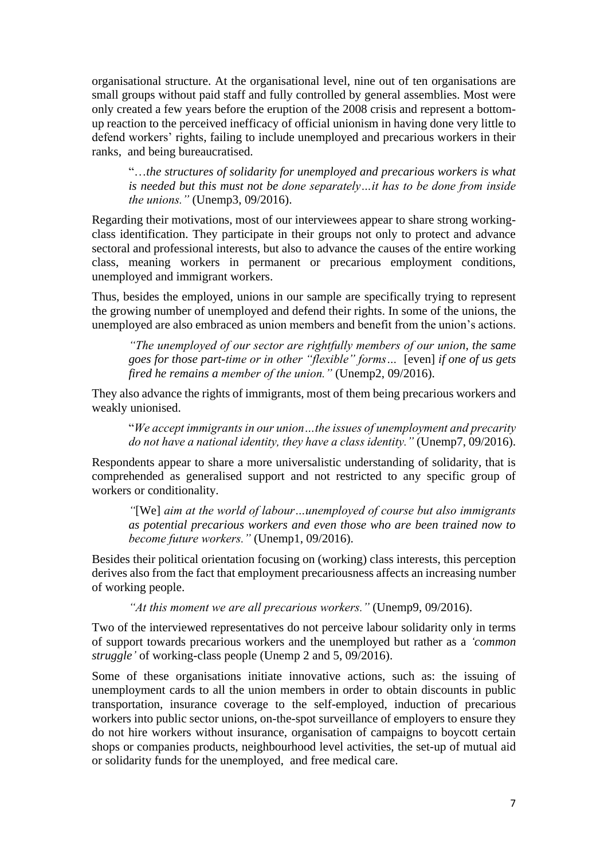organisational structure. At the organisational level, nine out of ten organisations are small groups without paid staff and fully controlled by general assemblies. Most were only created a few years before the eruption of the 2008 crisis and represent a bottomup reaction to the perceived inefficacy of official unionism in having done very little to defend workers' rights, failing to include unemployed and precarious workers in their ranks, and being bureaucratised.

"…*the structures of solidarity for unemployed and precarious workers is what is needed but this must not be done separately…it has to be done from inside the unions."* (Unemp3, 09/2016).

Regarding their motivations, most of our interviewees appear to share strong workingclass identification. They participate in their groups not only to protect and advance sectoral and professional interests, but also to advance the causes of the entire working class, meaning workers in permanent or precarious employment conditions, unemployed and immigrant workers.

Thus, besides the employed, unions in our sample are specifically trying to represent the growing number of unemployed and defend their rights. In some of the unions, the unemployed are also embraced as union members and benefit from the union's actions.

*"The unemployed of our sector are rightfully members of our union, the same goes for those part-time or in other "flexible" forms…* [even] *if one of us gets fired he remains a member of the union."* (Unemp2, 09/2016).

They also advance the rights of immigrants, most of them being precarious workers and weakly unionised.

"*We accept immigrants in our union…the issues of unemployment and precarity do not have a national identity, they have a class identity."* (Unemp7, 09/2016).

Respondents appear to share a more universalistic understanding of solidarity, that is comprehended as generalised support and not restricted to any specific group of workers or conditionality.

*"*[We] *aim at the world of labour…unemployed of course but also immigrants as potential precarious workers and even those who are been trained now to become future workers."* (Unemp1, 09/2016).

Besides their political orientation focusing on (working) class interests, this perception derives also from the fact that employment precariousness affects an increasing number of working people.

*"At this moment we are all precarious workers."* (Unemp9, 09/2016).

Two of the interviewed representatives do not perceive labour solidarity only in terms of support towards precarious workers and the unemployed but rather as a *'common struggle'* of working-class people (Unemp 2 and 5, 09/2016).

Some of these organisations initiate innovative actions, such as: the issuing of unemployment cards to all the union members in order to obtain discounts in public transportation, insurance coverage to the self-employed, induction of precarious workers into public sector unions, on-the-spot surveillance of employers to ensure they do not hire workers without insurance, organisation of campaigns to boycott certain shops or companies products, neighbourhood level activities, the set-up of mutual aid or solidarity funds for the unemployed, and free medical care.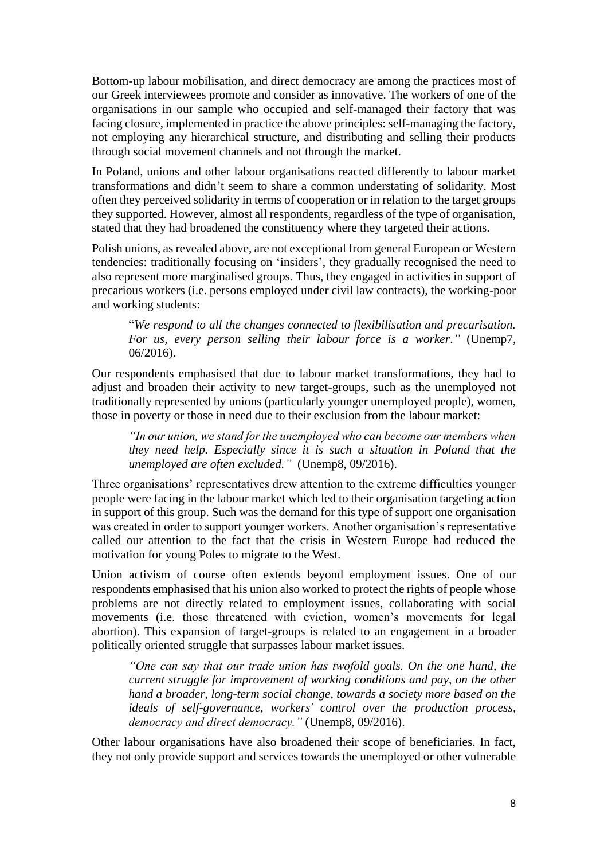Bottom-up labour mobilisation, and direct democracy are among the practices most of our Greek interviewees promote and consider as innovative. The workers of one of the organisations in our sample who occupied and self-managed their factory that was facing closure, implemented in practice the above principles: self-managing the factory, not employing any hierarchical structure, and distributing and selling their products through social movement channels and not through the market.

In Poland, unions and other labour organisations reacted differently to labour market transformations and didn't seem to share a common understating of solidarity. Most often they perceived solidarity in terms of cooperation or in relation to the target groups they supported. However, almost all respondents, regardless of the type of organisation, stated that they had broadened the constituency where they targeted their actions.

Polish unions, as revealed above, are not exceptional from general European or Western tendencies: traditionally focusing on 'insiders', they gradually recognised the need to also represent more marginalised groups. Thus, they engaged in activities in support of precarious workers (i.e. persons employed under civil law contracts), the working-poor and working students:

"*We respond to all the changes connected to flexibilisation and precarisation. For us, every person selling their labour force is a worker*.*"* (Unemp7, 06/2016).

Our respondents emphasised that due to labour market transformations, they had to adjust and broaden their activity to new target-groups, such as the unemployed not traditionally represented by unions (particularly younger unemployed people), women, those in poverty or those in need due to their exclusion from the labour market:

*"In our union, we stand for the unemployed who can become our members when they need help. Especially since it is such a situation in Poland that the unemployed are often excluded."* (Unemp8, 09/2016).

Three organisations' representatives drew attention to the extreme difficulties younger people were facing in the labour market which led to their organisation targeting action in support of this group. Such was the demand for this type of support one organisation was created in order to support younger workers. Another organisation's representative called our attention to the fact that the crisis in Western Europe had reduced the motivation for young Poles to migrate to the West.

Union activism of course often extends beyond employment issues. One of our respondents emphasised that his union also worked to protect the rights of people whose problems are not directly related to employment issues, collaborating with social movements (i.e. those threatened with eviction, women's movements for legal abortion). This expansion of target-groups is related to an engagement in a broader politically oriented struggle that surpasses labour market issues.

*"One can say that our trade union has twofold goals. On the one hand, the current struggle for improvement of working conditions and pay, on the other hand a broader, long-term social change, towards a society more based on the ideals of self-governance, workers' control over the production process, democracy and direct democracy."* (Unemp8, 09/2016).

Other labour organisations have also broadened their scope of beneficiaries. In fact, they not only provide support and services towards the unemployed or other vulnerable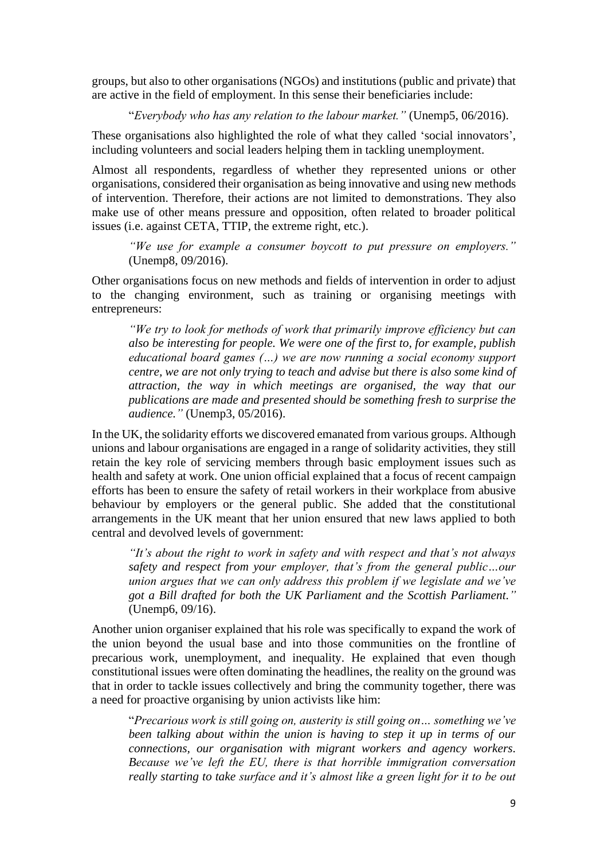groups, but also to other organisations (NGOs) and institutions (public and private) that are active in the field of employment. In this sense their beneficiaries include:

"*Everybody who has any relation to the labour market."* (Unemp5, 06/2016).

These organisations also highlighted the role of what they called 'social innovators', including volunteers and social leaders helping them in tackling unemployment.

Almost all respondents, regardless of whether they represented unions or other organisations, considered their organisation as being innovative and using new methods of intervention. Therefore, their actions are not limited to demonstrations. They also make use of other means pressure and opposition, often related to broader political issues (i.e. against CETA, TTIP, the extreme right, etc.).

*"We use for example a consumer boycott to put pressure on employers."*  (Unemp8, 09/2016).

Other organisations focus on new methods and fields of intervention in order to adjust to the changing environment, such as training or organising meetings with entrepreneurs:

*"We try to look for methods of work that primarily improve efficiency but can also be interesting for people. We were one of the first to, for example, publish educational board games (…) we are now running a social economy support centre, we are not only trying to teach and advise but there is also some kind of attraction, the way in which meetings are organised, the way that our publications are made and presented should be something fresh to surprise the audience."* (Unemp3, 05/2016).

In the UK, the solidarity efforts we discovered emanated from various groups. Although unions and labour organisations are engaged in a range of solidarity activities, they still retain the key role of servicing members through basic employment issues such as health and safety at work. One union official explained that a focus of recent campaign efforts has been to ensure the safety of retail workers in their workplace from abusive behaviour by employers or the general public. She added that the constitutional arrangements in the UK meant that her union ensured that new laws applied to both central and devolved levels of government:

*"It's about the right to work in safety and with respect and that's not always safety and respect from your employer, that's from the general public…our union argues that we can only address this problem if we legislate and we've got a Bill drafted for both the UK Parliament and the Scottish Parliament."* (Unemp6, 09/16).

Another union organiser explained that his role was specifically to expand the work of the union beyond the usual base and into those communities on the frontline of precarious work, unemployment, and inequality. He explained that even though constitutional issues were often dominating the headlines, the reality on the ground was that in order to tackle issues collectively and bring the community together, there was a need for proactive organising by union activists like him:

"*Precarious work is still going on, austerity is still going on… something we've been talking about within the union is having to step it up in terms of our connections, our organisation with migrant workers and agency workers. Because we've left the EU, there is that horrible immigration conversation really starting to take surface and it's almost like a green light for it to be out*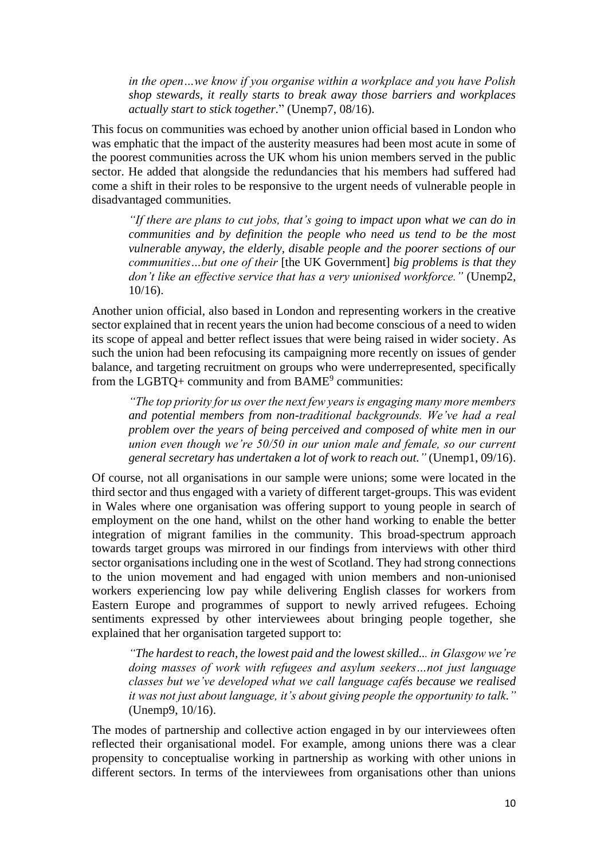*in the open…we know if you organise within a workplace and you have Polish shop stewards, it really starts to break away those barriers and workplaces actually start to stick together.*" (Unemp7, 08/16).

This focus on communities was echoed by another union official based in London who was emphatic that the impact of the austerity measures had been most acute in some of the poorest communities across the UK whom his union members served in the public sector. He added that alongside the redundancies that his members had suffered had come a shift in their roles to be responsive to the urgent needs of vulnerable people in disadvantaged communities.

*"If there are plans to cut jobs, that's going to impact upon what we can do in communities and by definition the people who need us tend to be the most vulnerable anyway, the elderly, disable people and the poorer sections of our communities…but one of their* [the UK Government] *big problems is that they don't like an effective service that has a very unionised workforce."* (Unemp2, 10/16).

Another union official, also based in London and representing workers in the creative sector explained that in recent years the union had become conscious of a need to widen its scope of appeal and better reflect issues that were being raised in wider society. As such the union had been refocusing its campaigning more recently on issues of gender balance, and targeting recruitment on groups who were underrepresented, specifically from the LGBTQ+ community and from  $BAME<sup>9</sup>$  communities:

*"The top priority for us over the next few years is engaging many more members and potential members from non-traditional backgrounds. We've had a real problem over the years of being perceived and composed of white men in our union even though we're 50/50 in our union male and female, so our current general secretary has undertaken a lot of work to reach out."* (Unemp1, 09/16).

Of course, not all organisations in our sample were unions; some were located in the third sector and thus engaged with a variety of different target-groups. This was evident in Wales where one organisation was offering support to young people in search of employment on the one hand, whilst on the other hand working to enable the better integration of migrant families in the community. This broad-spectrum approach towards target groups was mirrored in our findings from interviews with other third sector organisations including one in the west of Scotland. They had strong connections to the union movement and had engaged with union members and non-unionised workers experiencing low pay while delivering English classes for workers from Eastern Europe and programmes of support to newly arrived refugees. Echoing sentiments expressed by other interviewees about bringing people together, she explained that her organisation targeted support to:

*"The hardest to reach, the lowest paid and the lowest skilled... in Glasgow we're doing masses of work with refugees and asylum seekers…not just language classes but we've developed what we call language cafés because we realised it was not just about language, it's about giving people the opportunity to talk."*  (Unemp9, 10/16).

The modes of partnership and collective action engaged in by our interviewees often reflected their organisational model. For example, among unions there was a clear propensity to conceptualise working in partnership as working with other unions in different sectors. In terms of the interviewees from organisations other than unions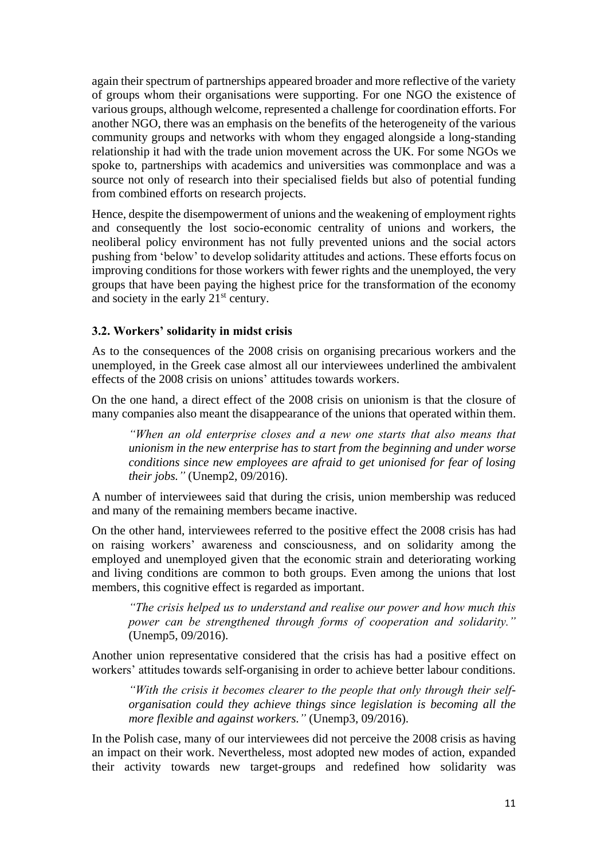again their spectrum of partnerships appeared broader and more reflective of the variety of groups whom their organisations were supporting. For one NGO the existence of various groups, although welcome, represented a challenge for coordination efforts. For another NGO, there was an emphasis on the benefits of the heterogeneity of the various community groups and networks with whom they engaged alongside a long-standing relationship it had with the trade union movement across the UK. For some NGOs we spoke to, partnerships with academics and universities was commonplace and was a source not only of research into their specialised fields but also of potential funding from combined efforts on research projects.

Hence, despite the disempowerment of unions and the weakening of employment rights and consequently the lost socio-economic centrality of unions and workers, the neoliberal policy environment has not fully prevented unions and the social actors pushing from 'below' to develop solidarity attitudes and actions. These efforts focus on improving conditions for those workers with fewer rights and the unemployed, the very groups that have been paying the highest price for the transformation of the economy and society in the early 21<sup>st</sup> century.

## **3.2. Workers' solidarity in midst crisis**

As to the consequences of the 2008 crisis on organising precarious workers and the unemployed, in the Greek case almost all our interviewees underlined the ambivalent effects of the 2008 crisis on unions' attitudes towards workers.

On the one hand, a direct effect of the 2008 crisis on unionism is that the closure of many companies also meant the disappearance of the unions that operated within them.

*"When an old enterprise closes and a new one starts that also means that unionism in the new enterprise has to start from the beginning and under worse conditions since new employees are afraid to get unionised for fear of losing their jobs."* (Unemp2, 09/2016).

A number of interviewees said that during the crisis, union membership was reduced and many of the remaining members became inactive.

On the other hand, interviewees referred to the positive effect the 2008 crisis has had on raising workers' awareness and consciousness, and on solidarity among the employed and unemployed given that the economic strain and deteriorating working and living conditions are common to both groups. Even among the unions that lost members, this cognitive effect is regarded as important.

*"The crisis helped us to understand and realise our power and how much this power can be strengthened through forms of cooperation and solidarity."*  (Unemp5, 09/2016).

Another union representative considered that the crisis has had a positive effect on workers' attitudes towards self-organising in order to achieve better labour conditions.

*"With the crisis it becomes clearer to the people that only through their selforganisation could they achieve things since legislation is becoming all the more flexible and against workers."* (Unemp3, 09/2016).

In the Polish case, many of our interviewees did not perceive the 2008 crisis as having an impact on their work. Nevertheless, most adopted new modes of action, expanded their activity towards new target-groups and redefined how solidarity was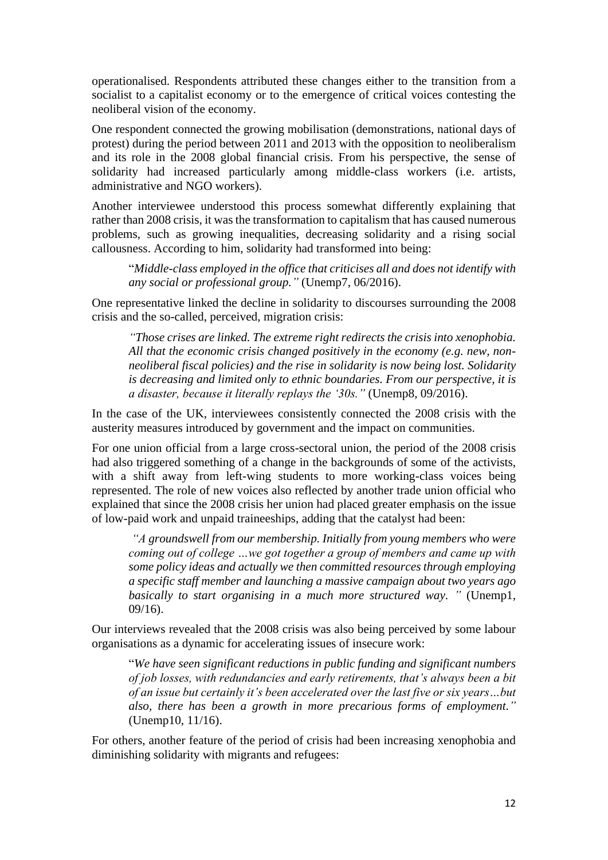operationalised. Respondents attributed these changes either to the transition from a socialist to a capitalist economy or to the emergence of critical voices contesting the neoliberal vision of the economy.

One respondent connected the growing mobilisation (demonstrations, national days of protest) during the period between 2011 and 2013 with the opposition to neoliberalism and its role in the 2008 global financial crisis. From his perspective, the sense of solidarity had increased particularly among middle-class workers (i.e. artists, administrative and NGO workers).

Another interviewee understood this process somewhat differently explaining that rather than 2008 crisis, it was the transformation to capitalism that has caused numerous problems, such as growing inequalities, decreasing solidarity and a rising social callousness. According to him, solidarity had transformed into being:

"*Middle-class employed in the office that criticises all and does not identify with any social or professional group."* (Unemp7, 06/2016).

One representative linked the decline in solidarity to discourses surrounding the 2008 crisis and the so-called, perceived, migration crisis:

*"Those crises are linked. The extreme right redirects the crisis into xenophobia. All that the economic crisis changed positively in the economy (e.g. new, nonneoliberal fiscal policies) and the rise in solidarity is now being lost. Solidarity is decreasing and limited only to ethnic boundaries. From our perspective, it is a disaster, because it literally replays the '30s."* (Unemp8, 09/2016).

In the case of the UK, interviewees consistently connected the 2008 crisis with the austerity measures introduced by government and the impact on communities.

For one union official from a large cross-sectoral union, the period of the 2008 crisis had also triggered something of a change in the backgrounds of some of the activists, with a shift away from left-wing students to more working-class voices being represented. The role of new voices also reflected by another trade union official who explained that since the 2008 crisis her union had placed greater emphasis on the issue of low-paid work and unpaid traineeships, adding that the catalyst had been:

*"A groundswell from our membership. Initially from young members who were coming out of college …we got together a group of members and came up with some policy ideas and actually we then committed resources through employing a specific staff member and launching a massive campaign about two years ago basically to start organising in a much more structured way. "* (Unemp1, 09/16).

Our interviews revealed that the 2008 crisis was also being perceived by some labour organisations as a dynamic for accelerating issues of insecure work:

"*We have seen significant reductions in public funding and significant numbers of job losses, with redundancies and early retirements, that's always been a bit of an issue but certainly it's been accelerated over the last five or six years…but also, there has been a growth in more precarious forms of employment."* (Unemp10, 11/16).

For others, another feature of the period of crisis had been increasing xenophobia and diminishing solidarity with migrants and refugees: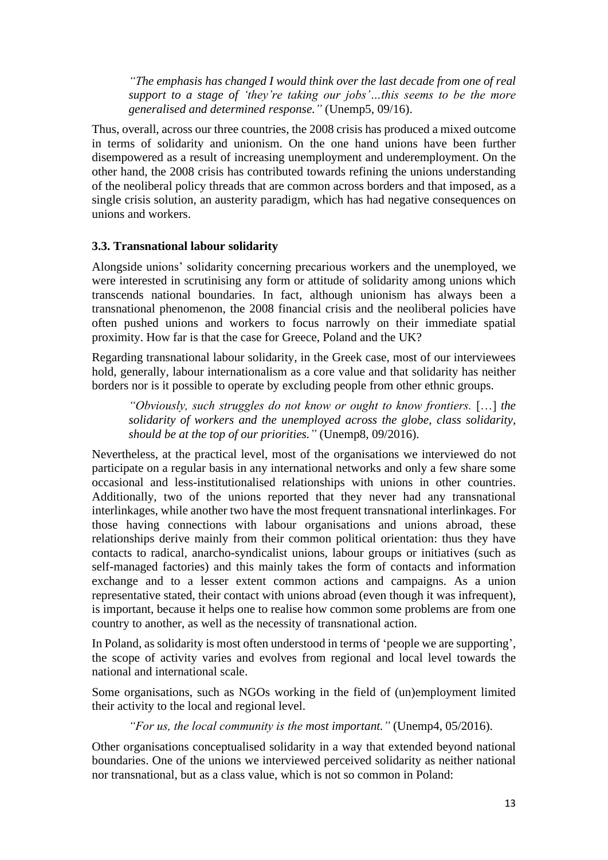*"The emphasis has changed I would think over the last decade from one of real support to a stage of 'they're taking our jobs'…this seems to be the more generalised and determined response."* (Unemp5, 09/16).

Thus, overall, across our three countries, the 2008 crisis has produced a mixed outcome in terms of solidarity and unionism. On the one hand unions have been further disempowered as a result of increasing unemployment and underemployment. On the other hand, the 2008 crisis has contributed towards refining the unions understanding of the neoliberal policy threads that are common across borders and that imposed, as a single crisis solution, an austerity paradigm, which has had negative consequences on unions and workers.

#### **3.3. Transnational labour solidarity**

Alongside unions' solidarity concerning precarious workers and the unemployed, we were interested in scrutinising any form or attitude of solidarity among unions which transcends national boundaries. In fact, although unionism has always been a transnational phenomenon, the 2008 financial crisis and the neoliberal policies have often pushed unions and workers to focus narrowly on their immediate spatial proximity. How far is that the case for Greece, Poland and the UK?

Regarding transnational labour solidarity, in the Greek case, most of our interviewees hold, generally, labour internationalism as a core value and that solidarity has neither borders nor is it possible to operate by excluding people from other ethnic groups.

*"Obviously, such struggles do not know or ought to know frontiers.* […] *the solidarity of workers and the unemployed across the globe, class solidarity, should be at the top of our priorities."* (Unemp8, 09/2016).

Nevertheless, at the practical level, most of the organisations we interviewed do not participate on a regular basis in any international networks and only a few share some occasional and less-institutionalised relationships with unions in other countries. Additionally, two of the unions reported that they never had any transnational interlinkages, while another two have the most frequent transnational interlinkages. For those having connections with labour organisations and unions abroad, these relationships derive mainly from their common political orientation: thus they have contacts to radical, anarcho-syndicalist unions, labour groups or initiatives (such as self-managed factories) and this mainly takes the form of contacts and information exchange and to a lesser extent common actions and campaigns. As a union representative stated, their contact with unions abroad (even though it was infrequent), is important, because it helps one to realise how common some problems are from one country to another, as well as the necessity of transnational action.

In Poland, as solidarity is most often understood in terms of 'people we are supporting', the scope of activity varies and evolves from regional and local level towards the national and international scale.

Some organisations, such as NGOs working in the field of (un)employment limited their activity to the local and regional level.

*"For us, the local community is the most important."* (Unemp4, 05/2016).

Other organisations conceptualised solidarity in a way that extended beyond national boundaries. One of the unions we interviewed perceived solidarity as neither national nor transnational, but as a class value, which is not so common in Poland: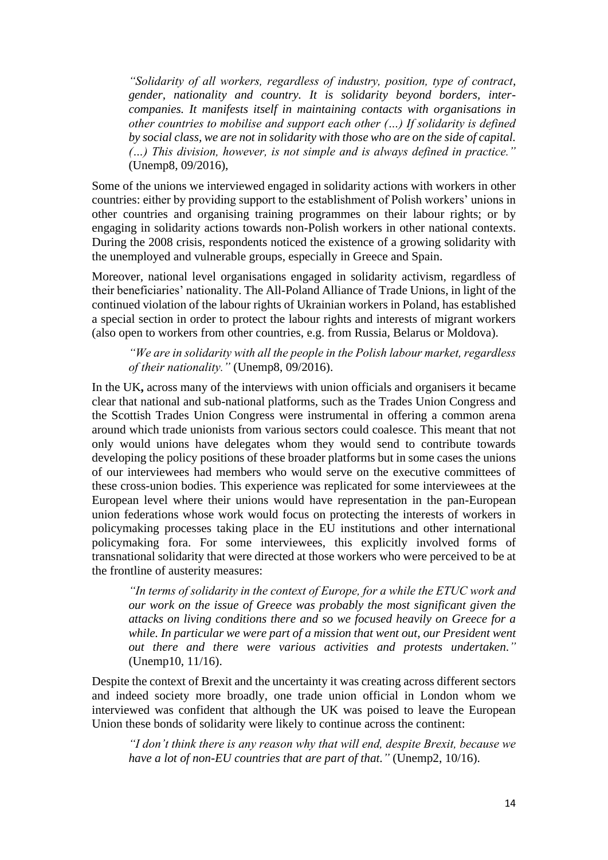*"Solidarity of all workers, regardless of industry, position, type of contract, gender, nationality and country. It is solidarity beyond borders, intercompanies. It manifests itself in maintaining contacts with organisations in other countries to mobilise and support each other (…) If solidarity is defined by social class, we are not in solidarity with those who are on the side of capital. (…) This division, however, is not simple and is always defined in practice."*  (Unemp8, 09/2016),

Some of the unions we interviewed engaged in solidarity actions with workers in other countries: either by providing support to the establishment of Polish workers' unions in other countries and organising training programmes on their labour rights; or by engaging in solidarity actions towards non-Polish workers in other national contexts. During the 2008 crisis, respondents noticed the existence of a growing solidarity with the unemployed and vulnerable groups, especially in Greece and Spain.

Moreover, national level organisations engaged in solidarity activism, regardless of their beneficiaries' nationality. The All-Poland Alliance of Trade Unions, in light of the continued violation of the labour rights of Ukrainian workers in Poland, has established a special section in order to protect the labour rights and interests of migrant workers (also open to workers from other countries, e.g. from Russia, Belarus or Moldova).

*"We are in solidarity with all the people in the Polish labour market, regardless of their nationality."* (Unemp8, 09/2016).

In the UK**,** across many of the interviews with union officials and organisers it became clear that national and sub-national platforms, such as the Trades Union Congress and the Scottish Trades Union Congress were instrumental in offering a common arena around which trade unionists from various sectors could coalesce. This meant that not only would unions have delegates whom they would send to contribute towards developing the policy positions of these broader platforms but in some cases the unions of our interviewees had members who would serve on the executive committees of these cross-union bodies. This experience was replicated for some interviewees at the European level where their unions would have representation in the pan-European union federations whose work would focus on protecting the interests of workers in policymaking processes taking place in the EU institutions and other international policymaking fora. For some interviewees, this explicitly involved forms of transnational solidarity that were directed at those workers who were perceived to be at the frontline of austerity measures:

*"In terms of solidarity in the context of Europe, for a while the ETUC work and our work on the issue of Greece was probably the most significant given the attacks on living conditions there and so we focused heavily on Greece for a while. In particular we were part of a mission that went out, our President went out there and there were various activities and protests undertaken."* (Unemp10, 11/16).

Despite the context of Brexit and the uncertainty it was creating across different sectors and indeed society more broadly, one trade union official in London whom we interviewed was confident that although the UK was poised to leave the European Union these bonds of solidarity were likely to continue across the continent:

*"I don't think there is any reason why that will end, despite Brexit, because we have a lot of non-EU countries that are part of that.*" (Unemp2, 10/16).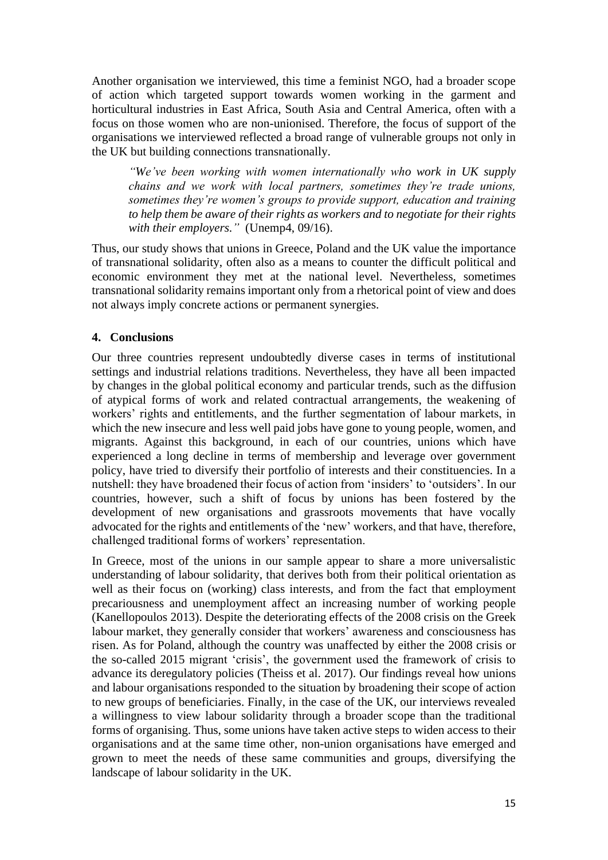Another organisation we interviewed, this time a feminist NGO, had a broader scope of action which targeted support towards women working in the garment and horticultural industries in East Africa, South Asia and Central America, often with a focus on those women who are non-unionised. Therefore, the focus of support of the organisations we interviewed reflected a broad range of vulnerable groups not only in the UK but building connections transnationally.

*"We've been working with women internationally who work in UK supply chains and we work with local partners, sometimes they're trade unions, sometimes they're women's groups to provide support, education and training to help them be aware of their rights as workers and to negotiate for their rights with their employers."* (Unemp4, 09/16).

Thus, our study shows that unions in Greece, Poland and the UK value the importance of transnational solidarity, often also as a means to counter the difficult political and economic environment they met at the national level. Nevertheless, sometimes transnational solidarity remains important only from a rhetorical point of view and does not always imply concrete actions or permanent synergies.

## **4. Conclusions**

Our three countries represent undoubtedly diverse cases in terms of institutional settings and industrial relations traditions. Nevertheless, they have all been impacted by changes in the global political economy and particular trends, such as the diffusion of atypical forms of work and related contractual arrangements, the weakening of workers' rights and entitlements, and the further segmentation of labour markets, in which the new insecure and less well paid jobs have gone to young people, women, and migrants. Against this background, in each of our countries, unions which have experienced a long decline in terms of membership and leverage over government policy, have tried to diversify their portfolio of interests and their constituencies. In a nutshell: they have broadened their focus of action from 'insiders' to 'outsiders'. In our countries, however, such a shift of focus by unions has been fostered by the development of new organisations and grassroots movements that have vocally advocated for the rights and entitlements of the 'new' workers, and that have, therefore, challenged traditional forms of workers' representation.

In Greece, most of the unions in our sample appear to share a more universalistic understanding of labour solidarity, that derives both from their political orientation as well as their focus on (working) class interests, and from the fact that employment precariousness and unemployment affect an increasing number of working people (Kanellopoulos 2013). Despite the deteriorating effects of the 2008 crisis on the Greek labour market, they generally consider that workers' awareness and consciousness has risen. As for Poland, although the country was unaffected by either the 2008 crisis or the so-called 2015 migrant 'crisis', the government used the framework of crisis to advance its deregulatory policies (Theiss et al. 2017). Our findings reveal how unions and labour organisations responded to the situation by broadening their scope of action to new groups of beneficiaries. Finally, in the case of the UK, our interviews revealed a willingness to view labour solidarity through a broader scope than the traditional forms of organising. Thus, some unions have taken active steps to widen access to their organisations and at the same time other, non-union organisations have emerged and grown to meet the needs of these same communities and groups, diversifying the landscape of labour solidarity in the UK.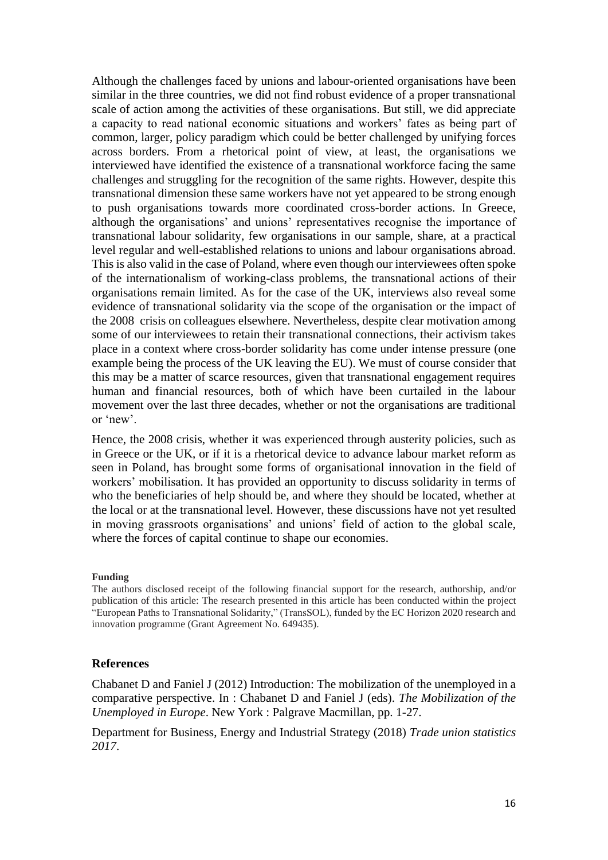Although the challenges faced by unions and labour-oriented organisations have been similar in the three countries, we did not find robust evidence of a proper transnational scale of action among the activities of these organisations. But still, we did appreciate a capacity to read national economic situations and workers' fates as being part of common, larger, policy paradigm which could be better challenged by unifying forces across borders. From a rhetorical point of view, at least, the organisations we interviewed have identified the existence of a transnational workforce facing the same challenges and struggling for the recognition of the same rights. However, despite this transnational dimension these same workers have not yet appeared to be strong enough to push organisations towards more coordinated cross-border actions. In Greece, although the organisations' and unions' representatives recognise the importance of transnational labour solidarity, few organisations in our sample, share, at a practical level regular and well-established relations to unions and labour organisations abroad. This is also valid in the case of Poland, where even though our interviewees often spoke of the internationalism of working-class problems, the transnational actions of their organisations remain limited. As for the case of the UK, interviews also reveal some evidence of transnational solidarity via the scope of the organisation or the impact of the 2008 crisis on colleagues elsewhere. Nevertheless, despite clear motivation among some of our interviewees to retain their transnational connections, their activism takes place in a context where cross-border solidarity has come under intense pressure (one example being the process of the UK leaving the EU). We must of course consider that this may be a matter of scarce resources, given that transnational engagement requires human and financial resources, both of which have been curtailed in the labour movement over the last three decades, whether or not the organisations are traditional or 'new'.

Hence, the 2008 crisis, whether it was experienced through austerity policies, such as in Greece or the UK, or if it is a rhetorical device to advance labour market reform as seen in Poland, has brought some forms of organisational innovation in the field of workers' mobilisation. It has provided an opportunity to discuss solidarity in terms of who the beneficiaries of help should be, and where they should be located, whether at the local or at the transnational level. However, these discussions have not yet resulted in moving grassroots organisations' and unions' field of action to the global scale, where the forces of capital continue to shape our economies.

#### **Funding**

The authors disclosed receipt of the following financial support for the research, authorship, and/or publication of this article: The research presented in this article has been conducted within the project "European Paths to Transnational Solidarity," (TransSOL), funded by the EC Horizon 2020 research and innovation programme (Grant Agreement No. 649435).

#### **References**

Chabanet D and Faniel J (2012) Introduction: The mobilization of the unemployed in a comparative perspective. In : Chabanet D and Faniel J (eds). *The Mobilization of the Unemployed in Europe*. New York : Palgrave Macmillan, pp. 1-27.

Department for Business, Energy and Industrial Strategy (2018) *Trade union statistics 2017*.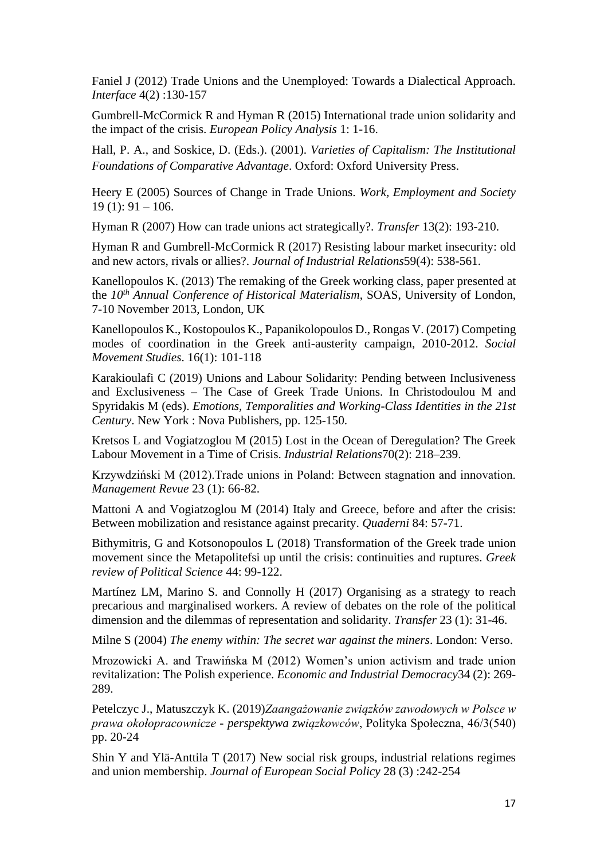Faniel J (2012) Trade Unions and the Unemployed: Towards a Dialectical Approach. *Interface* 4(2) :130-157

Gumbrell-McCormick R and Hyman R (2015) International trade union solidarity and the impact of the crisis. *European Policy Analysis* 1: 1-16.

Hall, P. A., and Soskice, D. (Eds.). (2001). *Varieties of Capitalism: The Institutional Foundations of Comparative Advantage*. Oxford: Oxford University Press.

Heery E (2005) Sources of Change in Trade Unions. *Work, Employment and Society*  $19(1): 91 - 106.$ 

Hyman R (2007) How can trade unions act strategically?. *Transfer* 13(2): 193-210.

Hyman R and Gumbrell-McCormick R (2017) Resisting labour market insecurity: old and new actors, rivals or allies?. *Journal of Industrial Relations*59(4): 538-561.

Kanellopoulos K. (2013) The remaking of the Greek working class, paper presented at the *10th Annual Conference of Historical Materialism*, SOAS, University of London, 7-10 November 2013, London, UK

Kanellopoulos K., Kostopoulos K., Papanikolopoulos D., Rongas V. (2017) Competing modes of coordination in the Greek anti-austerity campaign, 2010-2012. *Social Movement Studies*. 16(1): 101-118

Karakioulafi C (2019) Unions and Labour Solidarity: Pending between Inclusiveness and Exclusiveness – The Case of Greek Trade Unions. In Christodoulou M and Spyridakis M (eds). *Emotions, Temporalities and Working-Class Identities in the 21st Century*. New York : Nova Publishers, pp. 125-150.

Kretsos L and Vogiatzoglou M (2015) Lost in the Ocean of Deregulation? The Greek Labour Movement in a Time of Crisis. *Industrial Relations*70(2): 218–239.

Krzywdziński M (2012).Trade unions in Poland: Between stagnation and innovation. *Management Revue* 23 (1): 66-82.

Mattoni A and Vogiatzoglou M (2014) Italy and Greece, before and after the crisis: Between mobilization and resistance against precarity. *Quaderni* 84: 57-71.

Bithymitris, G and Kotsonopoulos L (2018) Transformation of the Greek trade union movement since the Metapolitefsi up until the crisis: continuities and ruptures. *Greek review of Political Science* 44: 99-122.

Martínez LM, Marino S. and Connolly H (2017) Organising as a strategy to reach precarious and marginalised workers. A review of debates on the role of the political dimension and the dilemmas of representation and solidarity. *Transfer* 23 (1): 31-46.

Milne S (2004) *The enemy within: The secret war against the miners*. London: Verso.

Mrozowicki A. and Trawińska M (2012) Women's union activism and trade union revitalization: The Polish experience. *Economic and Industrial Democracy*34 (2): 269- 289.

Petelczyc J., Matuszczyk K. (2019)*Zaangażowanie związków zawodowych w Polsce w prawa okołopracownicze - perspektywa związkowców*, Polityka Społeczna, 46/3(540) pp. 20-24

Shin Y and Ylä-Anttila T (2017) New social risk groups, industrial relations regimes and union membership. *Journal of European Social Policy* 28 (3) :242-254